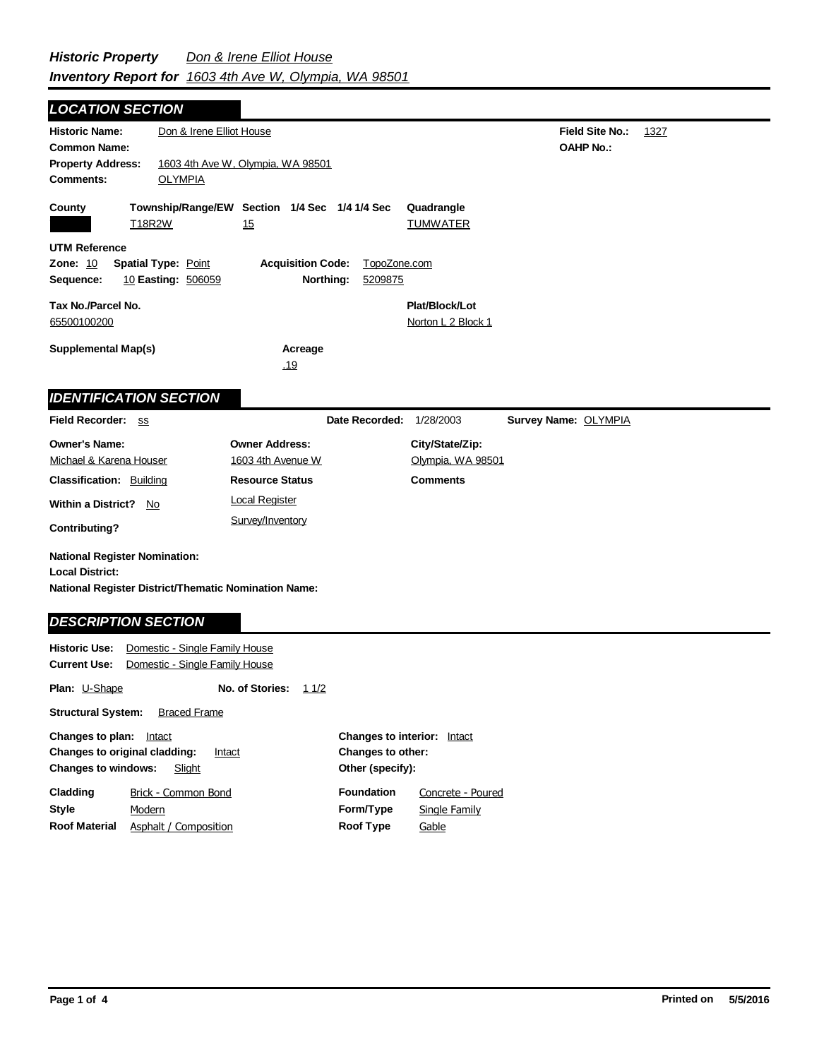**Field Site No.:** 1327 **OAHP No.: Historic Name:** Don & Irene Elliot House **Common Name: County Plat/Block/Lot** Norton L 2 Block 1 **Acreage** .19 **Supplemental Map(s) Tax No./Parcel No.** 65500100200 **Property Address:** 1603 4th Ave W, Olympia, WA 98501 *LOCATION SECTION* **Comments:** OLYMPIA **Quadrangle UTM Reference Township/Range/EW Section 1/4 Sec 1/4 1/4 Sec Owner Address:** 1603 4th Avenue W **Field Recorder:** ss **Owner's Name:** Michael & Karena Houser **City/State/Zip:** Olympia, WA 98501 **National Register District/Thematic Nomination Name: Local District: Date Recorded:** 1/28/2003 **Classification:** Building **Within a District?** No **Contributing? Comments National Register Nomination: Plan:** U-Shape **Historic Use:** Domestic - Single Family House **Current Use:** Domestic - Single Family House **Structural System:** Braced Frame **No. of Stories:** 11/2 **Resource Status Survey Name:** OLYMPIA *IDENTIFICATION SECTION DESCRIPTION SECTION* T18R2W 15 TUMWATER **Zone:** 10 **Spatial Type:** Point **Acquisition Code:** TopoZone.com **Sequence:** 10 **Easting:** 506059 **Northing:** 5209875 Local Register Survey/Inventory

| <b>Changes to plan:</b>                        | Intact                | <b>Changes to interior:</b> Intact |                      |
|------------------------------------------------|-----------------------|------------------------------------|----------------------|
| <b>Changes to original cladding:</b><br>Intact |                       | Changes to other:                  |                      |
| <b>Changes to windows:</b>                     | Slight                | Other (specify):                   |                      |
| Cladding                                       | Brick - Common Bond   | <b>Foundation</b>                  | Concrete - Poured    |
| Style                                          | Modern                | Form/Type                          | <b>Single Family</b> |
| <b>Roof Material</b>                           | Asphalt / Composition | Roof Type                          | Gable                |
|                                                |                       |                                    |                      |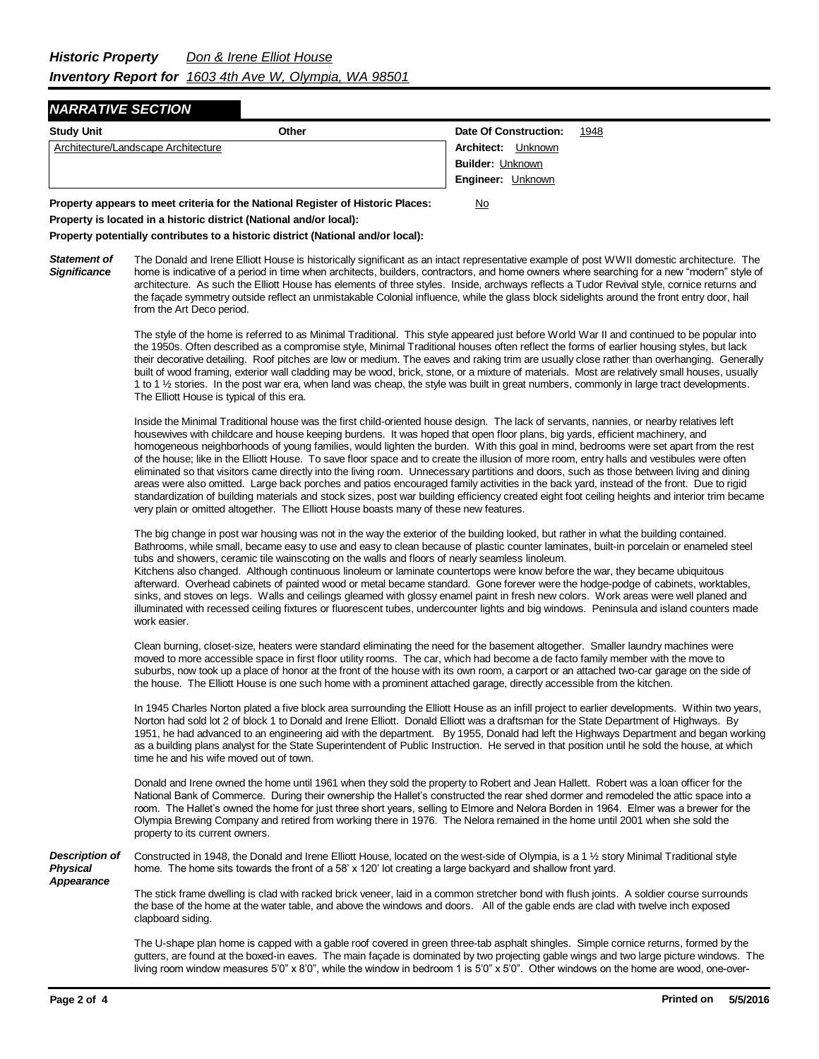## *NARRATIVE SECTION*

| <b>Study Unit</b><br>Other          | Date Of Construction:<br>1948 |
|-------------------------------------|-------------------------------|
| Architecture/Landscape Architecture | <b>Architect:</b> Unknown     |
|                                     | <b>Builder: Unknown</b>       |
|                                     | Engineer: Unknown             |

**Property appears to meet criteria for the National Register of Historic Places:** No **Property is located in a historic district (National and/or local):**

**Property potentially contributes to a historic district (National and/or local):**

*Statement of Significance* The Donald and Irene Elliott House is historically significant as an intact representative example of post WWII domestic architecture. The home is indicative of a period in time when architects, builders, contractors, and home owners where searching for a new "modern" style of architecture. As such the Elliott House has elements of three styles. Inside, archways reflects a Tudor Revival style, cornice returns and the façade symmetry outside reflect an unmistakable Colonial influence, while the glass block sidelights around the front entry door, hail from the Art Deco period.

> The style of the home is referred to as Minimal Traditional. This style appeared just before World War II and continued to be popular into the 1950s. Often described as a compromise style, Minimal Traditional houses often reflect the forms of earlier housing styles, but lack their decorative detailing. Roof pitches are low or medium. The eaves and raking trim are usually close rather than overhanging. Generally built of wood framing, exterior wall cladding may be wood, brick, stone, or a mixture of materials. Most are relatively small houses, usually 1 to 1 ½ stories. In the post war era, when land was cheap, the style was built in great numbers, commonly in large tract developments. The Elliott House is typical of this era.

> Inside the Minimal Traditional house was the first child-oriented house design. The lack of servants, nannies, or nearby relatives left housewives with childcare and house keeping burdens. It was hoped that open floor plans, big yards, efficient machinery, and homogeneous neighborhoods of young families, would lighten the burden. With this goal in mind, bedrooms were set apart from the rest of the house; like in the Elliott House. To save floor space and to create the illusion of more room, entry halls and vestibules were often eliminated so that visitors came directly into the living room. Unnecessary partitions and doors, such as those between living and dining areas were also omitted. Large back porches and patios encouraged family activities in the back yard, instead of the front. Due to rigid standardization of building materials and stock sizes, post war building efficiency created eight foot ceiling heights and interior trim became very plain or omitted altogether. The Elliott House boasts many of these new features.

> The big change in post war housing was not in the way the exterior of the building looked, but rather in what the building contained. Bathrooms, while small, became easy to use and easy to clean because of plastic counter laminates, built-in porcelain or enameled steel tubs and showers, ceramic tile wainscoting on the walls and floors of nearly seamless linoleum. Kitchens also changed. Although continuous linoleum or laminate countertops were know before the war, they became ubiquitous afterward. Overhead cabinets of painted wood or metal became standard. Gone forever were the hodge-podge of cabinets, worktables, sinks, and stoves on legs. Walls and ceilings gleamed with glossy enamel paint in fresh new colors. Work areas were well planed and illuminated with recessed ceiling fixtures or fluorescent tubes, undercounter lights and big windows. Peninsula and island counters made work easier.

Clean burning, closet-size, heaters were standard eliminating the need for the basement altogether. Smaller laundry machines were moved to more accessible space in first floor utility rooms. The car, which had become a de facto family member with the move to suburbs, now took up a place of honor at the front of the house with its own room, a carport or an attached two-car garage on the side of the house. The Elliott House is one such home with a prominent attached garage, directly accessible from the kitchen.

In 1945 Charles Norton plated a five block area surrounding the Elliott House as an infill project to earlier developments. Within two years, Norton had sold lot 2 of block 1 to Donald and Irene Elliott. Donald Elliott was a draftsman for the State Department of Highways. By 1951, he had advanced to an engineering aid with the department. By 1955, Donald had left the Highways Department and began working as a building plans analyst for the State Superintendent of Public Instruction. He served in that position until he sold the house, at which time he and his wife moved out of town.

Donald and Irene owned the home until 1961 when they sold the property to Robert and Jean Hallett. Robert was a loan officer for the National Bank of Commerce. During their ownership the Hallet's constructed the rear shed dormer and remodeled the attic space into a room. The Hallet's owned the home for just three short years, selling to Elmore and Nelora Borden in 1964. Elmer was a brewer for the Olympia Brewing Company and retired from working there in 1976. The Nelora remained in the home until 2001 when she sold the property to its current owners.

*Description of Physical*  Constructed in 1948, the Donald and Irene Elliott House, located on the west-side of Olympia, is a 1 ½ story Minimal Traditional style home. The home sits towards the front of a 58' x 120' lot creating a large backyard and shallow front yard.

*Appearance*

The stick frame dwelling is clad with racked brick veneer, laid in a common stretcher bond with flush joints. A soldier course surrounds the base of the home at the water table, and above the windows and doors. All of the gable ends are clad with twelve inch exposed clapboard siding.

The U-shape plan home is capped with a gable roof covered in green three-tab asphalt shingles. Simple cornice returns, formed by the gutters, are found at the boxed-in eaves. The main façade is dominated by two projecting gable wings and two large picture windows. The living room window measures 5'0" x 8'0", while the window in bedroom 1 is 5'0" x 5'0". Other windows on the home are wood, one-over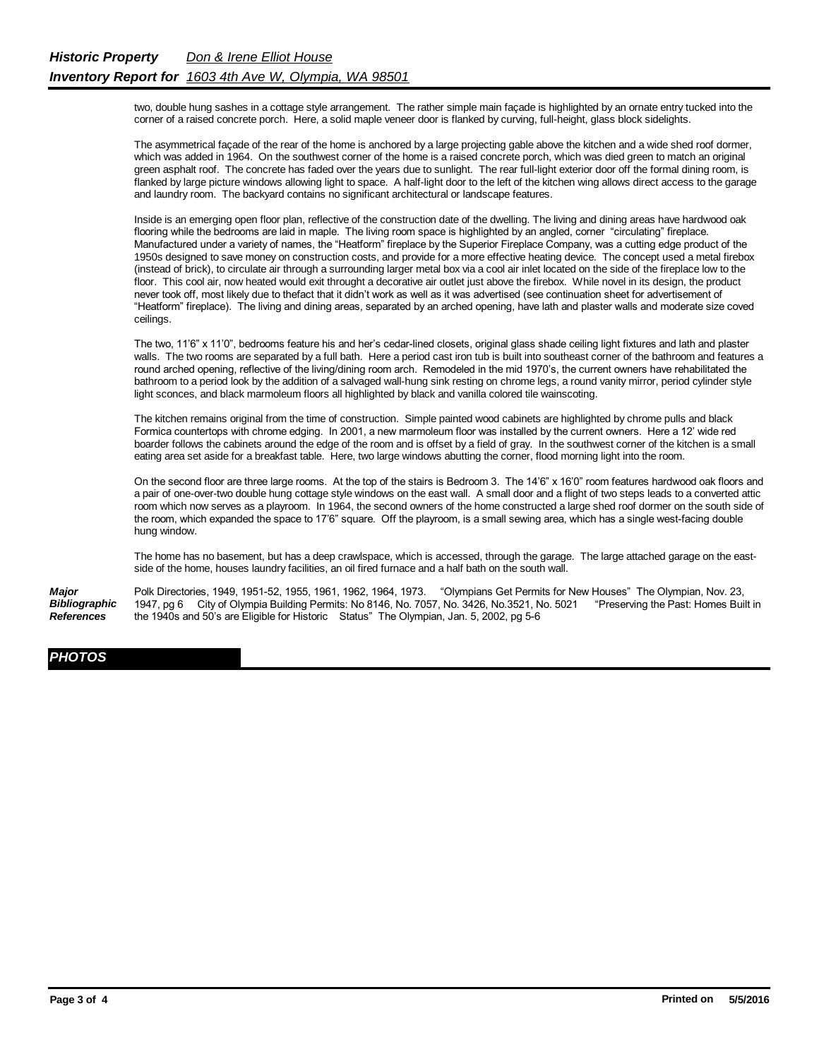two, double hung sashes in a cottage style arrangement. The rather simple main façade is highlighted by an ornate entry tucked into the corner of a raised concrete porch. Here, a solid maple veneer door is flanked by curving, full-height, glass block sidelights.

The asymmetrical façade of the rear of the home is anchored by a large projecting gable above the kitchen and a wide shed roof dormer, which was added in 1964. On the southwest corner of the home is a raised concrete porch, which was died green to match an original green asphalt roof. The concrete has faded over the years due to sunlight. The rear full-light exterior door off the formal dining room, is flanked by large picture windows allowing light to space. A half-light door to the left of the kitchen wing allows direct access to the garage and laundry room. The backyard contains no significant architectural or landscape features.

Inside is an emerging open floor plan, reflective of the construction date of the dwelling. The living and dining areas have hardwood oak flooring while the bedrooms are laid in maple. The living room space is highlighted by an angled, corner "circulating" fireplace. Manufactured under a variety of names, the "Heatform" fireplace by the Superior Fireplace Company, was a cutting edge product of the 1950s designed to save money on construction costs, and provide for a more effective heating device. The concept used a metal firebox (instead of brick), to circulate air through a surrounding larger metal box via a cool air inlet located on the side of the fireplace low to the floor. This cool air, now heated would exit throught a decorative air outlet just above the firebox. While novel in its design, the product never took off, most likely due to thefact that it didn't work as well as it was advertised (see continuation sheet for advertisement of "Heatform" fireplace). The living and dining areas, separated by an arched opening, have lath and plaster walls and moderate size coved ceilings.

The two, 11'6" x 11'0", bedrooms feature his and her's cedar-lined closets, original glass shade ceiling light fixtures and lath and plaster walls. The two rooms are separated by a full bath. Here a period cast iron tub is built into southeast corner of the bathroom and features a round arched opening, reflective of the living/dining room arch. Remodeled in the mid 1970's, the current owners have rehabilitated the bathroom to a period look by the addition of a salvaged wall-hung sink resting on chrome legs, a round vanity mirror, period cylinder style light sconces, and black marmoleum floors all highlighted by black and vanilla colored tile wainscoting.

The kitchen remains original from the time of construction. Simple painted wood cabinets are highlighted by chrome pulls and black Formica countertops with chrome edging. In 2001, a new marmoleum floor was installed by the current owners. Here a 12' wide red boarder follows the cabinets around the edge of the room and is offset by a field of gray. In the southwest corner of the kitchen is a small eating area set aside for a breakfast table. Here, two large windows abutting the corner, flood morning light into the room.

On the second floor are three large rooms. At the top of the stairs is Bedroom 3. The 14'6" x 16'0" room features hardwood oak floors and a pair of one-over-two double hung cottage style windows on the east wall. A small door and a flight of two steps leads to a converted attic room which now serves as a playroom. In 1964, the second owners of the home constructed a large shed roof dormer on the south side of the room, which expanded the space to 17'6" square. Off the playroom, is a small sewing area, which has a single west-facing double hung window.

The home has no basement, but has a deep crawlspace, which is accessed, through the garage. The large attached garage on the eastside of the home, houses laundry facilities, an oil fired furnace and a half bath on the south wall.

*Major Bibliographic References* Polk Directories, 1949, 1951-52, 1955, 1961, 1962, 1964, 1973. "Olympians Get Permits for New Houses" The Olympian, Nov. 23, 1947, pg 6 City of Olympia Building Permits: No 8146, No. 7057, No. 3426, No.3521, No. 5021 "Preserving the Past: Homes Built in the 1940s and 50's are Eligible for Historic Status" The Olympian, Jan. 5, 2002, pg 5-6

## *PHOTOS*